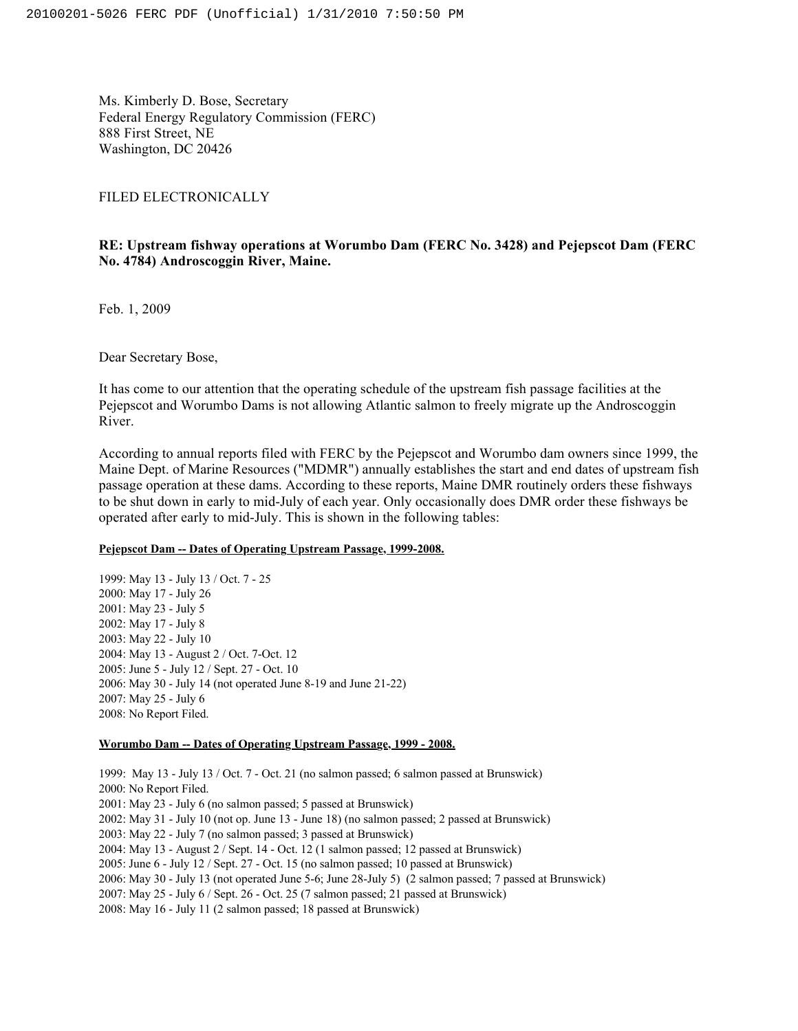Ms. Kimberly D. Bose, Secretary Federal Energy Regulatory Commission (FERC) 888 First Street, NE Washington, DC 20426

# FILED ELECTRONICALLY

# **RE: Upstream fishway operations at Worumbo Dam (FERC No. 3428) and Pejepscot Dam (FERC No. 4784) Androscoggin River, Maine.**

Feb. 1, 2009

Dear Secretary Bose,

It has come to our attention that the operating schedule of the upstream fish passage facilities at the Pejepscot and Worumbo Dams is not allowing Atlantic salmon to freely migrate up the Androscoggin River.

According to annual reports filed with FERC by the Pejepscot and Worumbo dam owners since 1999, the Maine Dept. of Marine Resources ("MDMR") annually establishes the start and end dates of upstream fish passage operation at these dams. According to these reports, Maine DMR routinely orders these fishways to be shut down in early to mid-July of each year. Only occasionally does DMR order these fishways be operated after early to mid-July. This is shown in the following tables:

### **Pejepscot Dam -- Dates of Operating Upstream Passage, 1999-2008.**

1999: May 13 - July 13 / Oct. 7 - 25 2000: May 17 - July 26 2001: May 23 - July 5 2002: May 17 - July 8 2003: May 22 - July 10 2004: May 13 - August 2 / Oct. 7-Oct. 12 2005: June 5 - July 12 / Sept. 27 - Oct. 10 2006: May 30 - July 14 (not operated June 8-19 and June 21-22) 2007: May 25 - July 6 2008: No Report Filed.

#### **Worumbo Dam -- Dates of Operating Upstream Passage, 1999 - 2008.**

1999: May 13 - July 13 / Oct. 7 - Oct. 21 (no salmon passed; 6 salmon passed at Brunswick) 2000: No Report Filed. 2001: May 23 - July 6 (no salmon passed; 5 passed at Brunswick) 2002: May 31 - July 10 (not op. June 13 - June 18) (no salmon passed; 2 passed at Brunswick) 2003: May 22 - July 7 (no salmon passed; 3 passed at Brunswick) 2004: May 13 - August 2 / Sept. 14 - Oct. 12 (1 salmon passed; 12 passed at Brunswick) 2005: June 6 - July 12 / Sept. 27 - Oct. 15 (no salmon passed; 10 passed at Brunswick) 2006: May 30 - July 13 (not operated June 5-6; June 28-July 5) (2 salmon passed; 7 passed at Brunswick) 2007: May 25 - July 6 / Sept. 26 - Oct. 25 (7 salmon passed; 21 passed at Brunswick) 2008: May 16 - July 11 (2 salmon passed; 18 passed at Brunswick)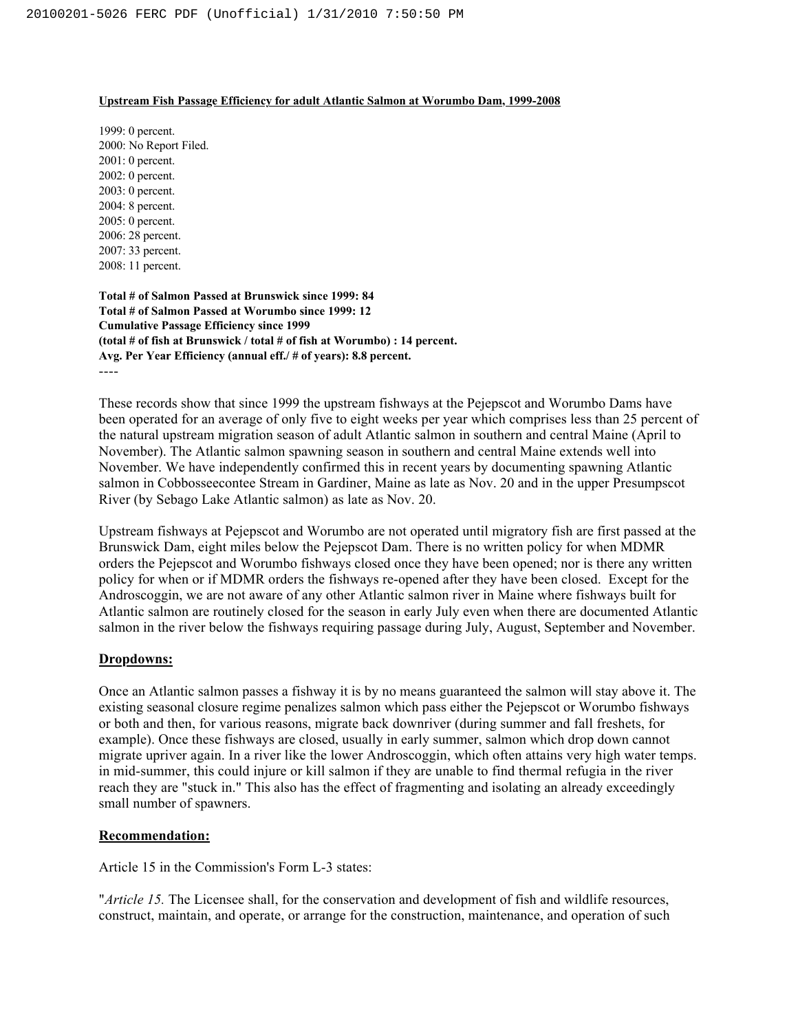### **Upstream Fish Passage Efficiency for adult Atlantic Salmon at Worumbo Dam, 1999-2008**

1999: 0 percent. 2000: No Report Filed. 2001: 0 percent. 2002: 0 percent. 2003: 0 percent. 2004: 8 percent. 2005: 0 percent. 2006: 28 percent. 2007: 33 percent. 2008: 11 percent.

**Total # of Salmon Passed at Brunswick since 1999: 84 Total # of Salmon Passed at Worumbo since 1999: 12 Cumulative Passage Efficiency since 1999 (total # of fish at Brunswick / total # of fish at Worumbo) : 14 percent. Avg. Per Year Efficiency (annual eff./ # of years): 8.8 percent.** ----

These records show that since 1999 the upstream fishways at the Pejepscot and Worumbo Dams have been operated for an average of only five to eight weeks per year which comprises less than 25 percent of the natural upstream migration season of adult Atlantic salmon in southern and central Maine (April to November). The Atlantic salmon spawning season in southern and central Maine extends well into November. We have independently confirmed this in recent years by documenting spawning Atlantic salmon in Cobbosseecontee Stream in Gardiner, Maine as late as Nov. 20 and in the upper Presumpscot River (by Sebago Lake Atlantic salmon) as late as Nov. 20.

Upstream fishways at Pejepscot and Worumbo are not operated until migratory fish are first passed at the Brunswick Dam, eight miles below the Pejepscot Dam. There is no written policy for when MDMR orders the Pejepscot and Worumbo fishways closed once they have been opened; nor is there any written policy for when or if MDMR orders the fishways re-opened after they have been closed. Except for the Androscoggin, we are not aware of any other Atlantic salmon river in Maine where fishways built for Atlantic salmon are routinely closed for the season in early July even when there are documented Atlantic salmon in the river below the fishways requiring passage during July, August, September and November.

# **Dropdowns:**

Once an Atlantic salmon passes a fishway it is by no means guaranteed the salmon will stay above it. The existing seasonal closure regime penalizes salmon which pass either the Pejepscot or Worumbo fishways or both and then, for various reasons, migrate back downriver (during summer and fall freshets, for example). Once these fishways are closed, usually in early summer, salmon which drop down cannot migrate upriver again. In a river like the lower Androscoggin, which often attains very high water temps. in mid-summer, this could injure or kill salmon if they are unable to find thermal refugia in the river reach they are "stuck in." This also has the effect of fragmenting and isolating an already exceedingly small number of spawners.

# **Recommendation:**

Article 15 in the Commission's Form L-3 states:

"*Article 15.* The Licensee shall, for the conservation and development of fish and wildlife resources, construct, maintain, and operate, or arrange for the construction, maintenance, and operation of such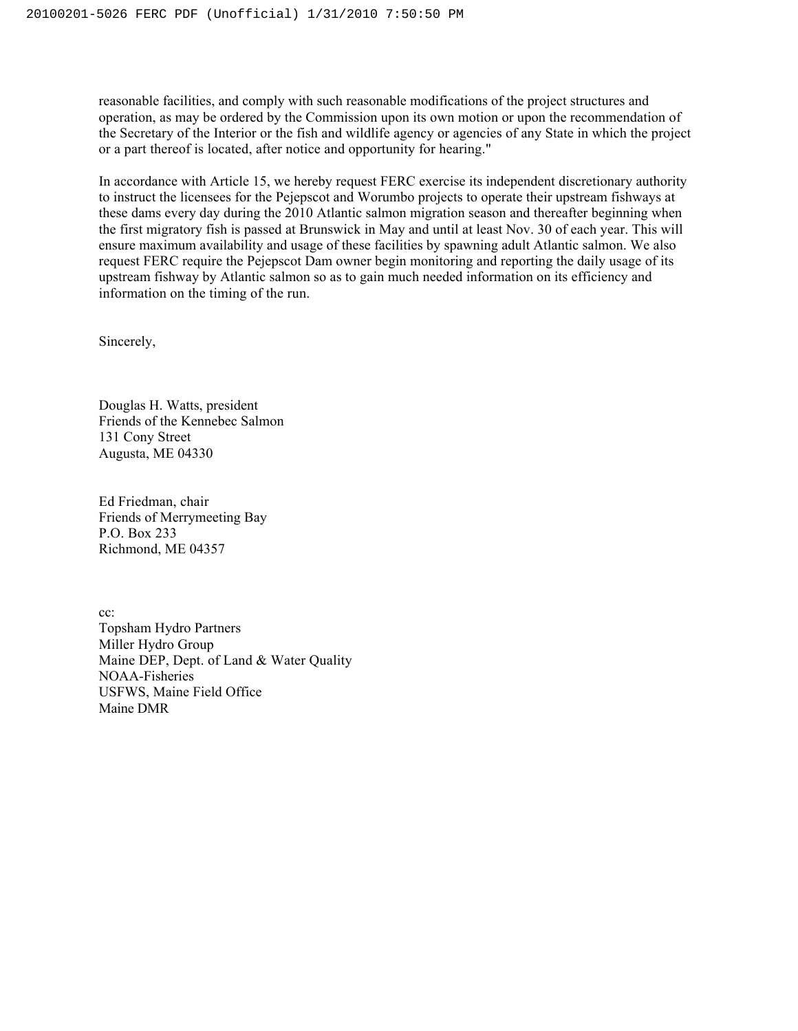reasonable facilities, and comply with such reasonable modifications of the project structures and operation, as may be ordered by the Commission upon its own motion or upon the recommendation of the Secretary of the Interior or the fish and wildlife agency or agencies of any State in which the project or a part thereof is located, after notice and opportunity for hearing."

In accordance with Article 15, we hereby request FERC exercise its independent discretionary authority to instruct the licensees for the Pejepscot and Worumbo projects to operate their upstream fishways at these dams every day during the 2010 Atlantic salmon migration season and thereafter beginning when the first migratory fish is passed at Brunswick in May and until at least Nov. 30 of each year. This will ensure maximum availability and usage of these facilities by spawning adult Atlantic salmon. We also request FERC require the Pejepscot Dam owner begin monitoring and reporting the daily usage of its upstream fishway by Atlantic salmon so as to gain much needed information on its efficiency and information on the timing of the run.

Sincerely,

Douglas H. Watts, president Friends of the Kennebec Salmon 131 Cony Street Augusta, ME 04330

Ed Friedman, chair Friends of Merrymeeting Bay P.O. Box 233 Richmond, ME 04357

cc: Topsham Hydro Partners Miller Hydro Group Maine DEP, Dept. of Land & Water Quality NOAA-Fisheries USFWS, Maine Field Office Maine DMR